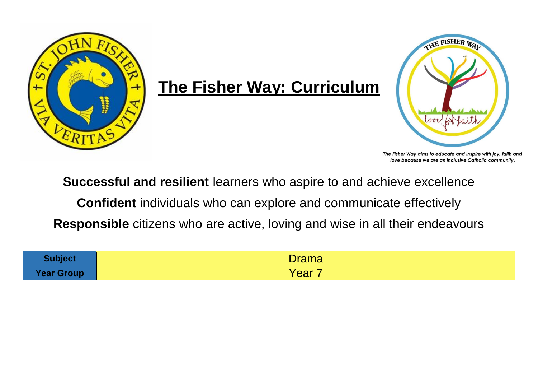

## **The Fisher Way: Curriculum**



The Fisher Way aims to educate and inspire with joy, faith and love because we are an inclusive Catholic community.

**Successful and resilient** learners who aspire to and achieve excellence

**Confident** individuals who can explore and communicate effectively

**Responsible** citizens who are active, loving and wise in all their endeavours

| <b>Subject</b>    | Drama |
|-------------------|-------|
| <b>Year Group</b> | Yearl |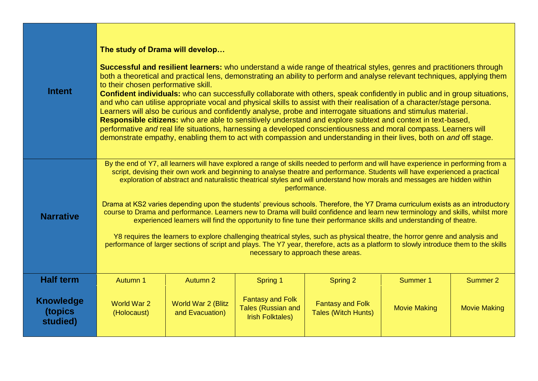| <b>Intent</b>                           | The study of Drama will develop<br>Successful and resilient learners: who understand a wide range of theatrical styles, genres and practitioners through<br>both a theoretical and practical lens, demonstrating an ability to perform and analyse relevant techniques, applying them<br>to their chosen performative skill.<br><b>Confident individuals:</b> who can successfully collaborate with others, speak confidently in public and in group situations,<br>and who can utilise appropriate vocal and physical skills to assist with their realisation of a character/stage persona.<br>Learners will also be curious and confidently analyse, probe and interrogate situations and stimulus material.<br>Responsible citizens: who are able to sensitively understand and explore subtext and context in text-based,<br>performative and real life situations, harnessing a developed conscientiousness and moral compass. Learners will<br>demonstrate empathy, enabling them to act with compassion and understanding in their lives, both on and off stage.                                                     |                                              |                                                                                 |                                                       |                     |                     |  |
|-----------------------------------------|-----------------------------------------------------------------------------------------------------------------------------------------------------------------------------------------------------------------------------------------------------------------------------------------------------------------------------------------------------------------------------------------------------------------------------------------------------------------------------------------------------------------------------------------------------------------------------------------------------------------------------------------------------------------------------------------------------------------------------------------------------------------------------------------------------------------------------------------------------------------------------------------------------------------------------------------------------------------------------------------------------------------------------------------------------------------------------------------------------------------------------|----------------------------------------------|---------------------------------------------------------------------------------|-------------------------------------------------------|---------------------|---------------------|--|
| <b>Narrative</b>                        | By the end of Y7, all learners will have explored a range of skills needed to perform and will have experience in performing from a<br>script, devising their own work and beginning to analyse theatre and performance. Students will have experienced a practical<br>exploration of abstract and naturalistic theatrical styles and will understand how morals and messages are hidden within<br>performance.<br>Drama at KS2 varies depending upon the students' previous schools. Therefore, the Y7 Drama curriculum exists as an introductory<br>course to Drama and performance. Learners new to Drama will build confidence and learn new terminology and skills, whilst more<br>experienced learners will find the opportunity to fine tune their performance skills and understanding of theatre.<br>Y8 requires the learners to explore challenging theatrical styles, such as physical theatre, the horror genre and analysis and<br>performance of larger sections of script and plays. The Y7 year, therefore, acts as a platform to slowly introduce them to the skills<br>necessary to approach these areas. |                                              |                                                                                 |                                                       |                     |                     |  |
| <b>Half term</b>                        | Autumn 1                                                                                                                                                                                                                                                                                                                                                                                                                                                                                                                                                                                                                                                                                                                                                                                                                                                                                                                                                                                                                                                                                                                    | <b>Autumn 2</b>                              | Spring 1                                                                        | <b>Spring 2</b>                                       | <b>Summer 1</b>     | <b>Summer 2</b>     |  |
| <b>Knowledge</b><br>(topics<br>studied) | World War 2<br>(Holocaust)                                                                                                                                                                                                                                                                                                                                                                                                                                                                                                                                                                                                                                                                                                                                                                                                                                                                                                                                                                                                                                                                                                  | <b>World War 2 (Blitz</b><br>and Evacuation) | <b>Fantasy and Folk</b><br><b>Tales (Russian and</b><br><b>Irish Folktales)</b> | <b>Fantasy and Folk</b><br><b>Tales (Witch Hunts)</b> | <b>Movie Making</b> | <b>Movie Making</b> |  |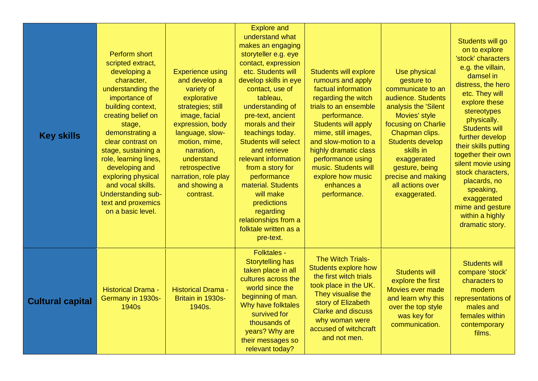| <b>Key skills</b>       | <b>Perform short</b><br>scripted extract,<br>developing a<br>character,<br>understanding the<br>importance of<br>building context,<br>creating belief on<br>stage,<br>demonstrating a<br>clear contrast on<br>stage, sustaining a<br>role, learning lines,<br>developing and<br>exploring physical<br>and vocal skills.<br><b>Understanding sub-</b><br>text and proxemics<br>on a basic level. | <b>Experience using</b><br>and develop a<br>variety of<br>explorative<br>strategies; still<br>image, facial<br>expression, body<br>language, slow-<br>motion, mime,<br>narration,<br>understand<br>retrospective<br>narration, role play<br>and showing a<br>contrast. | <b>Explore and</b><br>understand what<br>makes an engaging<br>storyteller e.g. eye<br>contact, expression<br>etc. Students will<br>develop skills in eye<br>contact, use of<br>tableau,<br>understanding of<br>pre-text, ancient<br>morals and their<br>teachings today.<br><b>Students will select</b><br>and retrieve<br>relevant information<br>from a story for<br>performance<br>material. Students<br>will make<br>predictions<br>regarding<br>relationships from a<br>folktale written as a<br>pre-text. | <b>Students will explore</b><br>rumours and apply<br>factual information<br>regarding the witch<br>trials to an ensemble<br>performance.<br><b>Students will apply</b><br>mime, still images,<br>and slow-motion to a<br>highly dramatic class<br>performance using<br>music. Students will<br>explore how music<br>enhances a<br>performance. | Use physical<br>gesture to<br>communicate to an<br>audience. Students<br>analysis the 'Silent<br>Movies' style<br>focusing on Charlie<br>Chapman clips.<br><b>Students develop</b><br>skills in<br>exaggerated<br>gesture, being<br>precise and making<br>all actions over<br>exaggerated. | Students will go<br>on to explore<br>'stock' characters<br>e.g. the villain,<br>damsel in<br>distress, the hero<br>etc. They will<br>explore these<br>stereotypes<br>physically.<br><b>Students will</b><br>further develop<br>their skills putting<br>together their own<br>silent movie using<br>stock characters,<br>placards, no<br>speaking,<br>exaggerated<br>mime and gesture<br>within a highly<br>dramatic story. |
|-------------------------|-------------------------------------------------------------------------------------------------------------------------------------------------------------------------------------------------------------------------------------------------------------------------------------------------------------------------------------------------------------------------------------------------|------------------------------------------------------------------------------------------------------------------------------------------------------------------------------------------------------------------------------------------------------------------------|-----------------------------------------------------------------------------------------------------------------------------------------------------------------------------------------------------------------------------------------------------------------------------------------------------------------------------------------------------------------------------------------------------------------------------------------------------------------------------------------------------------------|------------------------------------------------------------------------------------------------------------------------------------------------------------------------------------------------------------------------------------------------------------------------------------------------------------------------------------------------|--------------------------------------------------------------------------------------------------------------------------------------------------------------------------------------------------------------------------------------------------------------------------------------------|----------------------------------------------------------------------------------------------------------------------------------------------------------------------------------------------------------------------------------------------------------------------------------------------------------------------------------------------------------------------------------------------------------------------------|
| <b>Cultural capital</b> | <b>Historical Drama -</b><br>Germany in 1930s-<br>1940s                                                                                                                                                                                                                                                                                                                                         | <b>Historical Drama -</b><br>Britain in 1930s-<br>1940s.                                                                                                                                                                                                               | <b>Folktales -</b><br><b>Storytelling has</b><br>taken place in all<br>cultures across the<br>world since the<br>beginning of man.<br>Why have folktales<br>survived for<br>thousands of<br>years? Why are<br>their messages so<br>relevant today?                                                                                                                                                                                                                                                              | <b>The Witch Trials-</b><br><b>Students explore how</b><br>the first witch trials<br>took place in the UK.<br>They visualise the<br>story of Elizabeth<br><b>Clarke and discuss</b><br>why woman were<br>accused of witchcraft<br>and not men.                                                                                                 | <b>Students will</b><br>explore the first<br>Movies ever made<br>and learn why this<br>over the top style<br>was key for<br>communication.                                                                                                                                                 | <b>Students will</b><br>compare 'stock'<br>characters to<br>modern<br>representations of<br>males and<br>females within<br>contemporary<br>films.                                                                                                                                                                                                                                                                          |